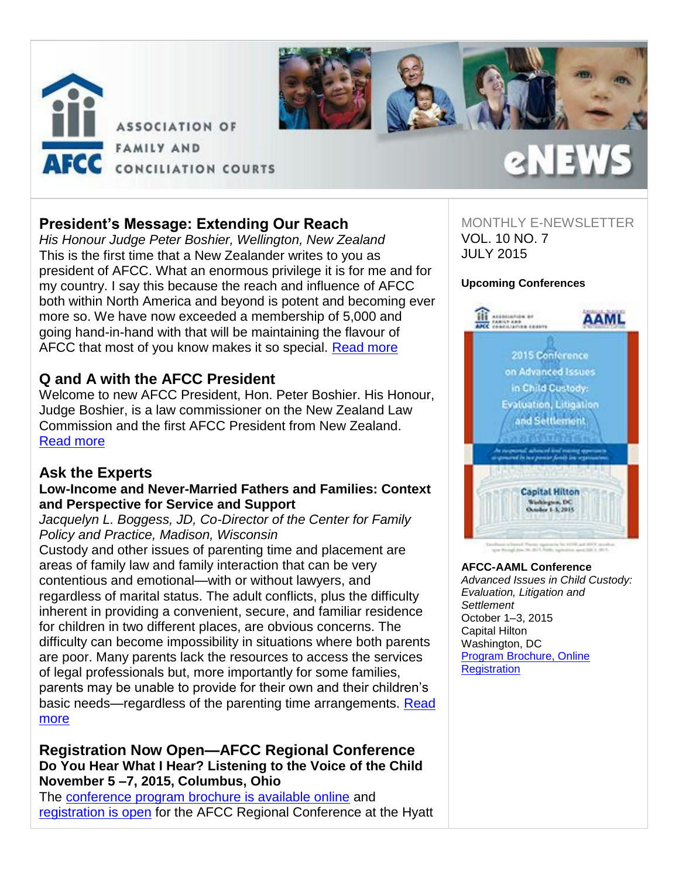



# **President's Message: Extending Our Reach**

*His Honour Judge Peter Boshier, Wellington, New Zealand* This is the first time that a New Zealander writes to you as president of AFCC. What an enormous privilege it is for me and for my country. I say this because the reach and influence of AFCC both within North America and beyond is potent and becoming ever more so. We have now exceeded a membership of 5,000 and going hand-in-hand with that will be maintaining the flavour of AFCC that most of you know makes it so special. [Read more](http://afcc.networkats.com/members_online/utilities/emailct.asp?a36dd2e0829ba0b044a66afaa9e9a2f07ceaf6ba694c8bf11a9a159487e18ca0bfb4fbffd1416500)

# **Q and A with the AFCC President**

Welcome to new AFCC President, Hon. Peter Boshier. His Honour, Judge Boshier, is a law commissioner on the New Zealand Law Commission and the first AFCC President from New Zealand. [Read more](http://afcc.networkats.com/members_online/utilities/emailct.asp?77b564cb00dbfd4ed052b1c2ea008084fcab2482694c8bf11a9a159487e18ca0bfb4fbffd1416500)

## **Ask the Experts**

## **Low-Income and Never-Married Fathers and Families: Context and Perspective for Service and Support**

*Jacquelyn L. Boggess, JD, Co-Director of the Center for Family Policy and Practice, Madison, Wisconsin* 

Custody and other issues of parenting time and placement are areas of family law and family interaction that can be very contentious and emotional—with or without lawyers, and regardless of marital status. The adult conflicts, plus the difficulty inherent in providing a convenient, secure, and familiar residence for children in two different places, are obvious concerns. The difficulty can become impossibility in situations where both parents are poor. Many parents lack the resources to access the services of legal professionals but, more importantly for some families, parents may be unable to provide for their own and their children's basic needs—regardless of the parenting time arrangements. Read [more](http://afcc.networkats.com/members_online/utilities/emailct.asp?fac596b0c3b031eb389140f53c846cbfe9a713f8694c8bf11a9a159487e18ca0bfb4fbffd1416500)

## **Registration Now Open—AFCC Regional Conference Do You Hear What I Hear? Listening to the Voice of the Child November 5 –7, 2015, Columbus, Ohio**

The [conference program brochure is available online](http://afcc.networkats.com/members_online/utilities/emailct.asp?db737ced8a55e4b64330c5f114f11a12f1b1e622694c8bf11a9a159487e18ca0bfb4fbffd1416500) and [registration is open](http://afcc.networkats.com/members_online/utilities/emailct.asp?6644a1244697b4ed1d4a388c861d411a5a531f17694c8bf11a9a159487e18ca0bfb4fbffd1416500) for the AFCC Regional Conference at the Hyatt

# MONTHLY E-NEWSLETTER

2NEW

VOL. 10 NO. 7 JULY 2015

# **Upcoming Conferences**



#### **AFCC-AAML Conference**

*Advanced Issues in Child Custody: Evaluation, Litigation and Settlement* October 1–3, 2015 Capital Hilton Washington, D[C](http://afcc.networkats.com/members_online/utilities/emailct.asp?cc9569a7e0319f7c22b84cd15183b3dac0f98f45694c8bf11a9a159487e18ca0bfb4fbffd1416500) [Program Brochure, Online](http://afcc.networkats.com/members_online/utilities/emailct.asp?cc9569a7e0319f7c22b84cd15183b3dac0f98f45694c8bf11a9a159487e18ca0bfb4fbffd1416500)  **Registration**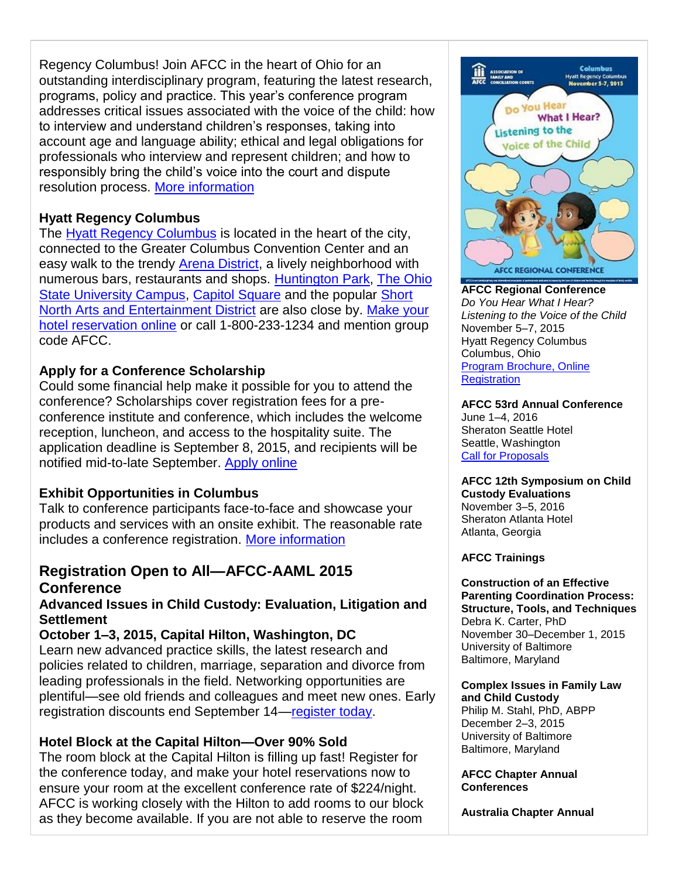Regency Columbus! Join AFCC in the heart of Ohio for an outstanding interdisciplinary program, featuring the latest research, programs, policy and practice. This year's conference program addresses critical issues associated with the voice of the child: how to interview and understand children's responses, taking into account age and language ability; ethical and legal obligations for professionals who interview and represent children; and how to responsibly bring the child's voice into the court and dispute resolution process. [More information](http://afcc.networkats.com/members_online/utilities/emailct.asp?2dc9f96ad5612fe825a4647c51054f605ecd21f6694c8bf11a9a159487e18ca0bfb4fbffd1416500)

# **Hyatt Regency Columbus**

The [Hyatt Regency Columbus](http://afcc.networkats.com/members_online/utilities/emailct.asp?22daaea185481a28445abb30c9a2905cc69e8ac6694c8bf11a9a159487e18ca0bfb4fbffd1416500) is located in the heart of the city, connected to the Greater Columbus Convention Center and an easy walk to the trendy **Arena District**, a lively neighborhood with numerous bars, restaurants and shops. [Huntington Park,](http://afcc.networkats.com/members_online/utilities/emailct.asp?de504dfe608cee15b529705f83dbcf69e700b6df694c8bf11a9a159487e18ca0bfb4fbffd1416500) [The Ohio](http://afcc.networkats.com/members_online/utilities/emailct.asp?6ea3a5230864f5a84ae1ebfd886a190b0dcd30e0694c8bf11a9a159487e18ca0bfb4fbffd1416500)  [State University Campus,](http://afcc.networkats.com/members_online/utilities/emailct.asp?6ea3a5230864f5a84ae1ebfd886a190b0dcd30e0694c8bf11a9a159487e18ca0bfb4fbffd1416500) [Capitol Square](http://afcc.networkats.com/members_online/utilities/emailct.asp?98ae926c6215688f43d48e70d09b3b3382b0e18f694c8bf11a9a159487e18ca0bfb4fbffd1416500) and the popular [Short](http://afcc.networkats.com/members_online/utilities/emailct.asp?559f4a4532a62f761742a422dcd986e28c89b5f2694c8bf11a9a159487e18ca0bfb4fbffd1416500)  [North Arts and Entertainment District](http://afcc.networkats.com/members_online/utilities/emailct.asp?559f4a4532a62f761742a422dcd986e28c89b5f2694c8bf11a9a159487e18ca0bfb4fbffd1416500) are also close by. [Make your](http://afcc.networkats.com/members_online/utilities/emailct.asp?f2b059d55a21065f1e3212cd388cec6da31f5500694c8bf11a9a159487e18ca0bfb4fbffd1416500)  [hotel reservation online](http://afcc.networkats.com/members_online/utilities/emailct.asp?f2b059d55a21065f1e3212cd388cec6da31f5500694c8bf11a9a159487e18ca0bfb4fbffd1416500) or call 1-800-233-1234 and mention group code AFCC.

# **Apply for a Conference Scholarship**

Could some financial help make it possible for you to attend the conference? Scholarships cover registration fees for a preconference institute and conference, which includes the welcome reception, luncheon, and access to the hospitality suite. The application deadline is September 8, 2015, and recipients will be notified mid-to-late September. [Apply online](http://afcc.networkats.com/members_online/utilities/emailct.asp?61fb6b35ec6a38228e317c440a4fd272259aa65a694c8bf11a9a159487e18ca0bfb4fbffd1416500)

# **Exhibit Opportunities in Columbus**

Talk to conference participants face-to-face and showcase your products and services with an onsite exhibit. The reasonable rate includes a conference registration. [More information](http://afcc.networkats.com/members_online/utilities/emailct.asp?2dc9f96ad5612fe825a4647c51054f605ecd21f6694c8bf11a9a159487e18ca0bfb4fbffd1416500) 

# **Registration Open to All—AFCC-AAML 2015 Conference**

# **Advanced Issues in Child Custody: Evaluation, Litigation and Settlement**

# **October 1–3, 2015, Capital Hilton, Washington, DC**

Learn new advanced practice skills, the latest research and policies related to children, marriage, separation and divorce from leading professionals in the field. Networking opportunities are plentiful—see old friends and colleagues and meet new ones. Early registration discounts end September 14[—register today.](http://afcc.networkats.com/members_online/utilities/emailct.asp?55c172175831410f4f7b577b8293a6b4b66c28cf694c8bf11a9a159487e18ca0bfb4fbffd1416500)

# **Hotel Block at the Capital Hilton—Over 90% Sold**

The room block at the Capital Hilton is filling up fast! Register for the conference today, and make your hotel reservations now to ensure your room at the excellent conference rate of \$224/night. AFCC is working closely with the Hilton to add rooms to our block as they become available. If you are not able to reserve the room



**AFCC Regional Conference** *Do You Hear What I Hear? Listening to the Voice of the Child* November 5–7, 2015 Hyatt Regency Columbus Columbus, Ohio [Program Brochure, Online](http://afcc.networkats.com/members_online/utilities/emailct.asp?2dc9f96ad5612fe825a4647c51054f605ecd21f6694c8bf11a9a159487e18ca0bfb4fbffd1416500)  **Registration** 

**AFCC 53rd Annual Conference** June 1–4, 2016 Sheraton Seattle Hotel Seattle, Washington [Call for Proposals](http://afcc.networkats.com/members_online/utilities/emailct.asp?66f24c6abd994e9f78622f8b8b8003437ab73b37694c8bf11a9a159487e18ca0bfb4fbffd1416500)

**AFCC 12th Symposium on Child Custody Evaluations** November 3–5, 2016 Sheraton Atlanta Hotel Atlanta, Georgia

## **AFCC Trainings**

**Construction of an Effective Parenting Coordination Process: Structure, Tools, and Techniques** Debra K. Carter, PhD November 30–December 1, 2015 University of Baltimore Baltimore, Maryland

**Complex Issues in Family Law and Child Custody**  Philip M. Stahl, PhD, ABPP December 2–3, 2015 University of Baltimore Baltimore, Maryland

## **AFCC Chapter Annual Conferences**

**Australia Chapter Annual**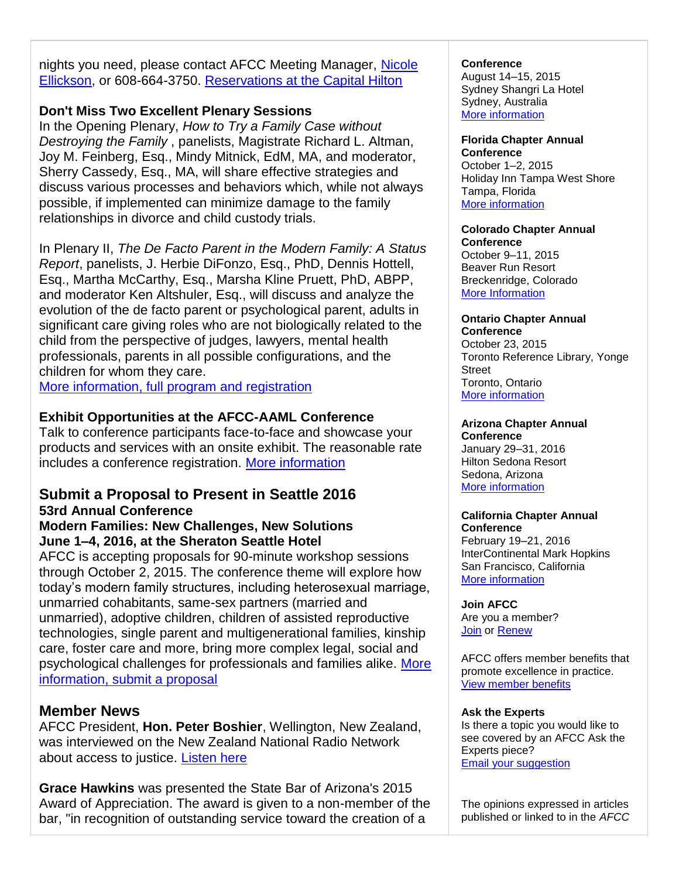nights you need, please contact AFCC Meeting Manager, Nicole [Ellickson,](mailto:nellickson@afccnet.org) or 608-664-3750. [Reservations at the Capital Hilton](http://afcc.networkats.com/members_online/utilities/emailct.asp?3f3db893cde1ce4c3fd705196af0bf873e01ef04694c8bf11a9a159487e18ca0bfb4fbffd1416500) 

## **Don't Miss Two Excellent Plenary Sessions**

In the Opening Plenary, *How to Try a Family Case without Destroying the Family* , panelists, Magistrate Richard L. Altman, Joy M. Feinberg, Esq., Mindy Mitnick, EdM, MA, and moderator, Sherry Cassedy, Esq., MA, will share effective strategies and discuss various processes and behaviors which, while not always possible, if implemented can minimize damage to the family relationships in divorce and child custody trials.

In Plenary II, *The De Facto Parent in the Modern Family: A Status Report*, panelists, J. Herbie DiFonzo, Esq., PhD, Dennis Hottell, Esq., Martha McCarthy, Esq., Marsha Kline Pruett, PhD, ABPP, and moderator Ken Altshuler, Esq., will discuss and analyze the evolution of the de facto parent or psychological parent, adults in significant care giving roles who are not biologically related to the child from the perspective of judges, lawyers, mental health professionals, parents in all possible configurations, and the children for whom they care.

[More information, full program and registration](http://afcc.networkats.com/members_online/utilities/emailct.asp?cc9569a7e0319f7c22b84cd15183b3dac0f98f45694c8bf11a9a159487e18ca0bfb4fbffd1416500)

## **Exhibit Opportunities at the AFCC-AAML Conference**

Talk to conference participants face-to-face and showcase your products and services with an onsite exhibit. The reasonable rate includes a conference registration. [More information](http://afcc.networkats.com/members_online/utilities/emailct.asp?cc9569a7e0319f7c22b84cd15183b3dac0f98f45694c8bf11a9a159487e18ca0bfb4fbffd1416500) 

# **Submit a Proposal to Present in Seattle 2016 53rd Annual Conference**

## **Modern Families: New Challenges, New Solutions June 1–4, 2016, at the Sheraton Seattle Hotel**

AFCC is accepting proposals for 90-minute workshop sessions through October 2, 2015. The conference theme will explore how today's modern family structures, including heterosexual marriage, unmarried cohabitants, same-sex partners (married and unmarried), adoptive children, children of assisted reproductive technologies, single parent and multigenerational families, kinship care, foster care and more, bring more complex legal, social and psychological challenges for professionals and families alike. [More](http://afcc.networkats.com/members_online/utilities/emailct.asp?66f24c6abd994e9f78622f8b8b8003437ab73b37694c8bf11a9a159487e18ca0bfb4fbffd1416500)  [information, submit a proposal](http://afcc.networkats.com/members_online/utilities/emailct.asp?66f24c6abd994e9f78622f8b8b8003437ab73b37694c8bf11a9a159487e18ca0bfb4fbffd1416500) 

## **Member News**

AFCC President, **Hon. Peter Boshier**, Wellington, New Zealand, was interviewed on the New Zealand National Radio Network about access to justice. [Listen here](http://afcc.networkats.com/members_online/utilities/emailct.asp?05f6639427f3a2d04be68cc3fd9e969f34215560694c8bf11a9a159487e18ca0bfb4fbffd1416500)

**Grace Hawkins** was presented the State Bar of Arizona's 2015 Award of Appreciation. The award is given to a non-member of the bar, "in recognition of outstanding service toward the creation of a

#### **Conference**

August 14–15, 2015 Sydney Shangri La Hotel Sydney, Australia [More information](http://afcc.networkats.com/members_online/utilities/emailct.asp?f39da599f01919568e3e2164984a4ce50f5ac4d7694c8bf11a9a159487e18ca0bfb4fbffd1416500) 

# **Florida Chapter Annual**

**Conference**  October 1–2, 2015 Holiday Inn Tampa West Shore Tampa, Florida [More information](http://afcc.networkats.com/members_online/utilities/emailct.asp?c7a2bc43924e903060190b3c2e32365e4e009dea694c8bf11a9a159487e18ca0bfb4fbffd1416500) 

#### **Colorado Chapter Annual Conference**

October 9–11, 2015 Beaver Run Resort Breckenridge, Colorado [More Information](http://afcc.networkats.com/members_online/utilities/emailct.asp?16829d1e1e605e960c2e9066147780c56475df84694c8bf11a9a159487e18ca0bfb4fbffd1416500) 

#### **Ontario Chapter Annual Conference**

October 23, 2015 Toronto Reference Library, Yonge **Street** Toronto, Ontario [More information](http://afcc.networkats.com/members_online/utilities/emailct.asp?745e207518bc354d995eb5bbd39b39fee604a6b5694c8bf11a9a159487e18ca0bfb4fbffd1416500) 

#### **Arizona Chapter Annual Conference**

January 29–31, 2016 Hilton Sedona Resort Sedona, Arizona [More information](http://afcc.networkats.com/members_online/utilities/emailct.asp?9a2de53cb18c9dc1f592fb875f420a63ba0159f0694c8bf11a9a159487e18ca0bfb4fbffd1416500)

#### **California Chapter Annual Conference**

February 19–21, 2016 InterContinental Mark Hopkins San Francisco, California [More information](http://afcc.networkats.com/members_online/utilities/emailct.asp?00a3f956898e053fa9d0b69b5d23285b93c8b9a8694c8bf11a9a159487e18ca0bfb4fbffd1416500) 

## **Join AFCC**

Are you a member? [Join](http://afcc.networkats.com/members_online/utilities/emailct.asp?2840d0510c25db0a2627fc8c3121cc817c7545ee694c8bf11a9a159487e18ca0bfb4fbffd1416500) or [Renew](http://afcc.networkats.com/members_online/utilities/emailct.asp?45d3b1b80aa74743e80cfdafdbb5d0bd05cb74d5694c8bf11a9a159487e18ca0bfb4fbffd1416500)

AFCC offers member benefits that promote excellence in practice. [View member benefits](http://afcc.networkats.com/members_online/utilities/emailct.asp?86f76cd299999466bef63f66c98777a0582e7e86694c8bf11a9a159487e18ca0bfb4fbffd1416500)

## **Ask the Experts**

Is there a topic you would like to see covered by an AFCC Ask the Experts piece? [Email your suggestion](mailto:editor@afccnet.org)

The opinions expressed in articles published or linked to in the *AFCC*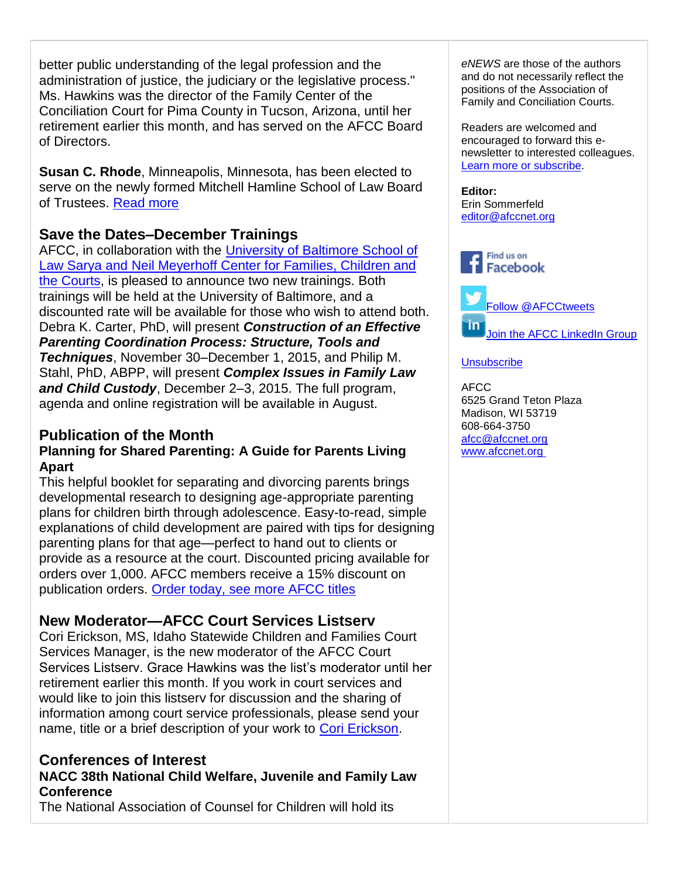better public understanding of the legal profession and the administration of justice, the judiciary or the legislative process." Ms. Hawkins was the director of the Family Center of the Conciliation Court for Pima County in Tucson, Arizona, until her retirement earlier this month, and has served on the AFCC Board of Directors.

**Susan C. Rhode**, Minneapolis, Minnesota, has been elected to serve on the newly formed Mitchell Hamline School of Law Board of Trustees. [Read more](http://afcc.networkats.com/members_online/utilities/emailct.asp?08f66ca31bb1c520ec4887e094b83d3c9bb9cd62694c8bf11a9a159487e18ca0bfb4fbffd1416500)

# **Save the Dates–December Trainings**

AFCC, in collaboration with the [University of Baltimore School of](http://afcc.networkats.com/members_online/utilities/emailct.asp?88b48e2c5003e5186e0873f5662cd5c9a31de8a3694c8bf11a9a159487e18ca0bfb4fbffd1416500)  [Law Sarya and Neil Meyerhoff Center for Families, Children and](http://afcc.networkats.com/members_online/utilities/emailct.asp?88b48e2c5003e5186e0873f5662cd5c9a31de8a3694c8bf11a9a159487e18ca0bfb4fbffd1416500)  [the Courts,](http://afcc.networkats.com/members_online/utilities/emailct.asp?88b48e2c5003e5186e0873f5662cd5c9a31de8a3694c8bf11a9a159487e18ca0bfb4fbffd1416500) is pleased to announce two new trainings. Both trainings will be held at the University of Baltimore, and a discounted rate will be available for those who wish to attend both. Debra K. Carter, PhD, will present *Construction of an Effective Parenting Coordination Process: Structure, Tools and Techniques*, November 30–December 1, 2015, and Philip M. Stahl, PhD, ABPP, will present *Complex Issues in Family Law and Child Custody*, December 2–3, 2015. The full program, agenda and online registration will be available in August.

## **Publication of the Month Planning for Shared Parenting: A Guide for Parents Living Apart**

This helpful booklet for separating and divorcing parents brings developmental research to designing age-appropriate parenting plans for children birth through adolescence. Easy-to-read, simple explanations of child development are paired with tips for designing parenting plans for that age—perfect to hand out to clients or provide as a resource at the court. Discounted pricing available for orders over 1,000. AFCC members receive a 15% discount on publication orders. [Order today, see more AFCC titles](http://afcc.networkats.com/members_online/utilities/emailct.asp?8d438fdeb3256a9f6e8993aedb1ab95700ff97f6694c8bf11a9a159487e18ca0bfb4fbffd1416500)

# **New Moderator—AFCC Court Services Listserv**

Cori Erickson, MS, Idaho Statewide Children and Families Court Services Manager, is the new moderator of the AFCC Court Services Listserv. Grace Hawkins was the list's moderator until her retirement earlier this month. If you work in court services and would like to join this listserv for discussion and the sharing of information among court service professionals, please send your name, title or a brief description of your work to [Cori Erickson.](mailto:cerickson@idcourts.net)

# **Conferences of Interest NACC 38th National Child Welfare, Juvenile and Family Law Conference**

The National Association of Counsel for Children will hold its

*eNEWS* are those of the authors and do not necessarily reflect the positions of the Association of Family and Conciliation Courts.

Readers are welcomed and encouraged to forward this enewsletter to interested colleagues. [Learn more or subscribe.](http://afcc.networkats.com/members_online/utilities/emailct.asp?6e7fc0107ce20ee573cd9b90b45b55dc4ffa8a19694c8bf11a9a159487e18ca0bfb4fbffd1416500)

**Editor:**  Erin Sommerfeld [editor@afccnet.org](mailto:editor@afccnet.org)



## **[Unsubscribe](mailto:afcc@afccnet.org)**

AFCC 6525 Grand Teton Plaza Madison, WI 53719 608-664-3750 [afcc@afccnet.org](mailto:afcc@afccnet.org) [www.afccnet.org](http://afcc.networkats.com/members_online/utilities/emailct.asp?46f7ffd613818a300756771de3d7b846ff99f088694c8bf11a9a159487e18ca0bfb4fbffd1416500)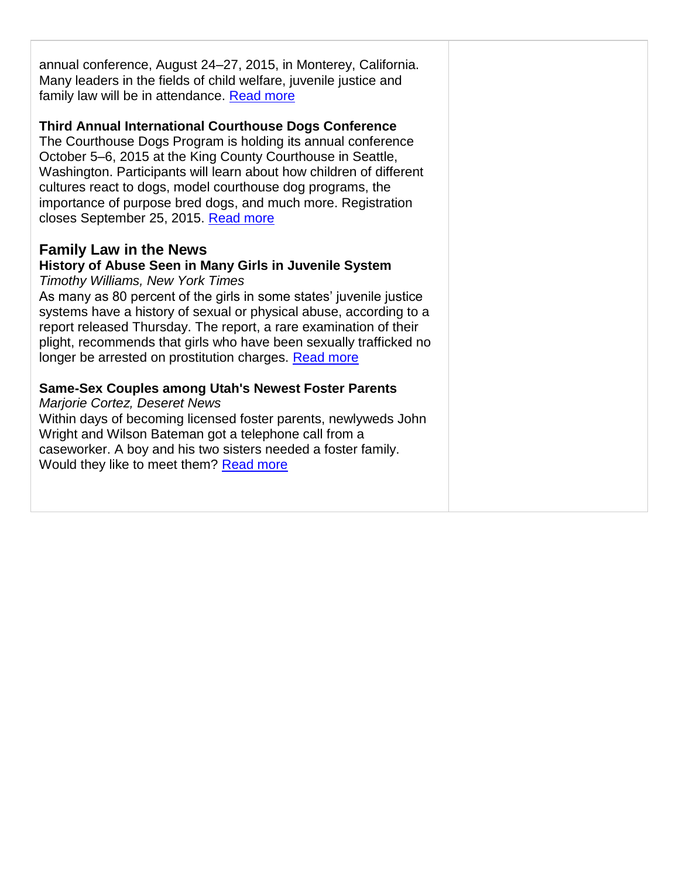annual conference, August 24–27, 2015, in Monterey, California. Many leaders in the fields of child welfare, juvenile justice and family law will be in attendance. [Read more](http://afcc.networkats.com/members_online/utilities/emailct.asp?2a64ca9d7fe0650e7b5c8126edb6b64b4aaf8c59694c8bf11a9a159487e18ca0bfb4fbffd1416500)

## **Third Annual International Courthouse Dogs Conference**

The Courthouse Dogs Program is holding its annual conference October 5–6, 2015 at the King County Courthouse in Seattle, Washington. Participants will learn about how children of different cultures react to dogs, model courthouse dog programs, the importance of purpose bred dogs, and much more. Registration closes September 25, 2015. [Read more](http://afcc.networkats.com/members_online/utilities/emailct.asp?862238f64337e257ac162db1d1fe8139727b61e0694c8bf11a9a159487e18ca0bfb4fbffd1416500)

# **Family Law in the News**

# **History of Abuse Seen in Many Girls in Juvenile System**

*Timothy Williams, New York Times*

As many as 80 percent of the girls in some states' juvenile justice systems have a history of sexual or physical abuse, according to a report released Thursday. The report, a rare examination of their plight, recommends that girls who have been sexually trafficked no longer be arrested on prostitution charges. [Read more](http://afcc.networkats.com/members_online/utilities/emailct.asp?8d9e2fd60e951d852a633bac3e2910e5e5390f7d694c8bf11a9a159487e18ca0bfb4fbffd1416500) 

## **Same-Sex Couples among Utah's Newest Foster Parents**

*Marjorie Cortez, Deseret News*

Within days of becoming licensed foster parents, newlyweds John Wright and Wilson Bateman got a telephone call from a caseworker. A boy and his two sisters needed a foster family. Would they like to meet them? [Read more](http://afcc.networkats.com/members_online/utilities/emailct.asp?fff5df30fca24c5c77652091e12fc6ba219f2912694c8bf11a9a159487e18ca0bfb4fbffd1416500)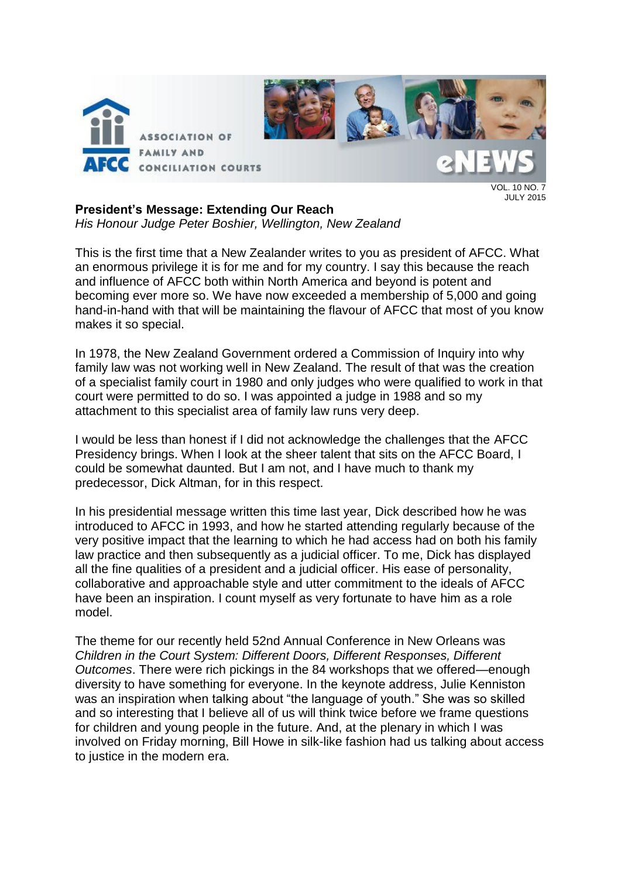

JULY 2015

## **President's Message: Extending Our Reach**

*His Honour Judge Peter Boshier, Wellington, New Zealand*

This is the first time that a New Zealander writes to you as president of AFCC. What an enormous privilege it is for me and for my country. I say this because the reach and influence of AFCC both within North America and beyond is potent and becoming ever more so. We have now exceeded a membership of 5,000 and going hand-in-hand with that will be maintaining the flavour of AFCC that most of you know makes it so special.

In 1978, the New Zealand Government ordered a Commission of Inquiry into why family law was not working well in New Zealand. The result of that was the creation of a specialist family court in 1980 and only judges who were qualified to work in that court were permitted to do so. I was appointed a judge in 1988 and so my attachment to this specialist area of family law runs very deep.

I would be less than honest if I did not acknowledge the challenges that the AFCC Presidency brings. When I look at the sheer talent that sits on the AFCC Board, I could be somewhat daunted. But I am not, and I have much to thank my predecessor, Dick Altman, for in this respect.

In his presidential message written this time last year, Dick described how he was introduced to AFCC in 1993, and how he started attending regularly because of the very positive impact that the learning to which he had access had on both his family law practice and then subsequently as a judicial officer. To me, Dick has displayed all the fine qualities of a president and a judicial officer. His ease of personality, collaborative and approachable style and utter commitment to the ideals of AFCC have been an inspiration. I count myself as very fortunate to have him as a role model.

The theme for our recently held 52nd Annual Conference in New Orleans was *Children in the Court System: Different Doors, Different Responses, Different Outcomes*. There were rich pickings in the 84 workshops that we offered—enough diversity to have something for everyone. In the keynote address, Julie Kenniston was an inspiration when talking about "the language of youth." She was so skilled and so interesting that I believe all of us will think twice before we frame questions for children and young people in the future. And, at the plenary in which I was involved on Friday morning, Bill Howe in silk-like fashion had us talking about access to justice in the modern era.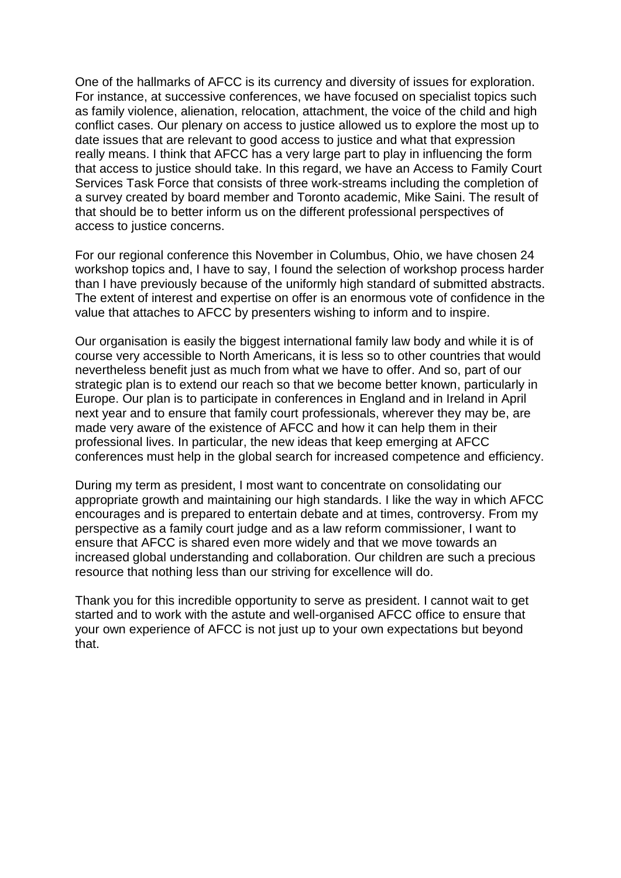One of the hallmarks of AFCC is its currency and diversity of issues for exploration. For instance, at successive conferences, we have focused on specialist topics such as family violence, alienation, relocation, attachment, the voice of the child and high conflict cases. Our plenary on access to justice allowed us to explore the most up to date issues that are relevant to good access to justice and what that expression really means. I think that AFCC has a very large part to play in influencing the form that access to justice should take. In this regard, we have an Access to Family Court Services Task Force that consists of three work-streams including the completion of a survey created by board member and Toronto academic, Mike Saini. The result of that should be to better inform us on the different professional perspectives of access to justice concerns.

For our regional conference this November in Columbus, Ohio, we have chosen 24 workshop topics and, I have to say, I found the selection of workshop process harder than I have previously because of the uniformly high standard of submitted abstracts. The extent of interest and expertise on offer is an enormous vote of confidence in the value that attaches to AFCC by presenters wishing to inform and to inspire.

Our organisation is easily the biggest international family law body and while it is of course very accessible to North Americans, it is less so to other countries that would nevertheless benefit just as much from what we have to offer. And so, part of our strategic plan is to extend our reach so that we become better known, particularly in Europe. Our plan is to participate in conferences in England and in Ireland in April next year and to ensure that family court professionals, wherever they may be, are made very aware of the existence of AFCC and how it can help them in their professional lives. In particular, the new ideas that keep emerging at AFCC conferences must help in the global search for increased competence and efficiency.

During my term as president, I most want to concentrate on consolidating our appropriate growth and maintaining our high standards. I like the way in which AFCC encourages and is prepared to entertain debate and at times, controversy. From my perspective as a family court judge and as a law reform commissioner, I want to ensure that AFCC is shared even more widely and that we move towards an increased global understanding and collaboration. Our children are such a precious resource that nothing less than our striving for excellence will do.

Thank you for this incredible opportunity to serve as president. I cannot wait to get started and to work with the astute and well-organised AFCC office to ensure that your own experience of AFCC is not just up to your own expectations but beyond that.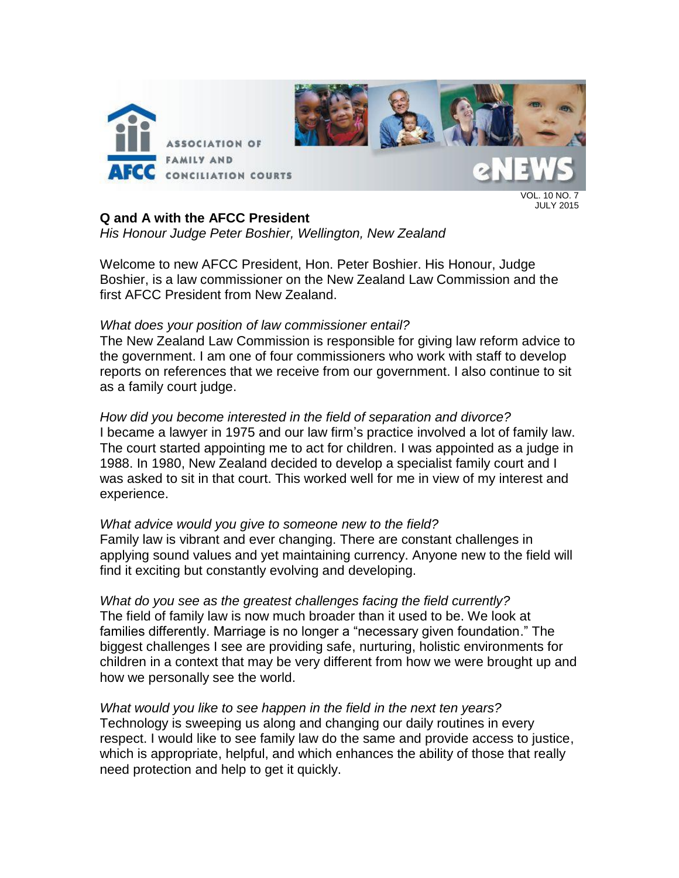

VOL. 10 NO. 7 JULY 2015

## **Q and A with the AFCC President**

*His Honour Judge Peter Boshier, Wellington, New Zealand*

Welcome to new AFCC President, Hon. Peter Boshier. His Honour, Judge Boshier, is a law commissioner on the New Zealand Law Commission and the first AFCC President from New Zealand.

## *What does your position of law commissioner entail?*

The New Zealand Law Commission is responsible for giving law reform advice to the government. I am one of four commissioners who work with staff to develop reports on references that we receive from our government. I also continue to sit as a family court judge.

*How did you become interested in the field of separation and divorce?* I became a lawyer in 1975 and our law firm's practice involved a lot of family law. The court started appointing me to act for children. I was appointed as a judge in 1988. In 1980, New Zealand decided to develop a specialist family court and I was asked to sit in that court. This worked well for me in view of my interest and experience.

*What advice would you give to someone new to the field?* Family law is vibrant and ever changing. There are constant challenges in applying sound values and yet maintaining currency. Anyone new to the field will find it exciting but constantly evolving and developing.

*What do you see as the greatest challenges facing the field currently?* The field of family law is now much broader than it used to be. We look at families differently. Marriage is no longer a "necessary given foundation." The biggest challenges I see are providing safe, nurturing, holistic environments for children in a context that may be very different from how we were brought up and how we personally see the world.

*What would you like to see happen in the field in the next ten years?* Technology is sweeping us along and changing our daily routines in every respect. I would like to see family law do the same and provide access to justice, which is appropriate, helpful, and which enhances the ability of those that really need protection and help to get it quickly.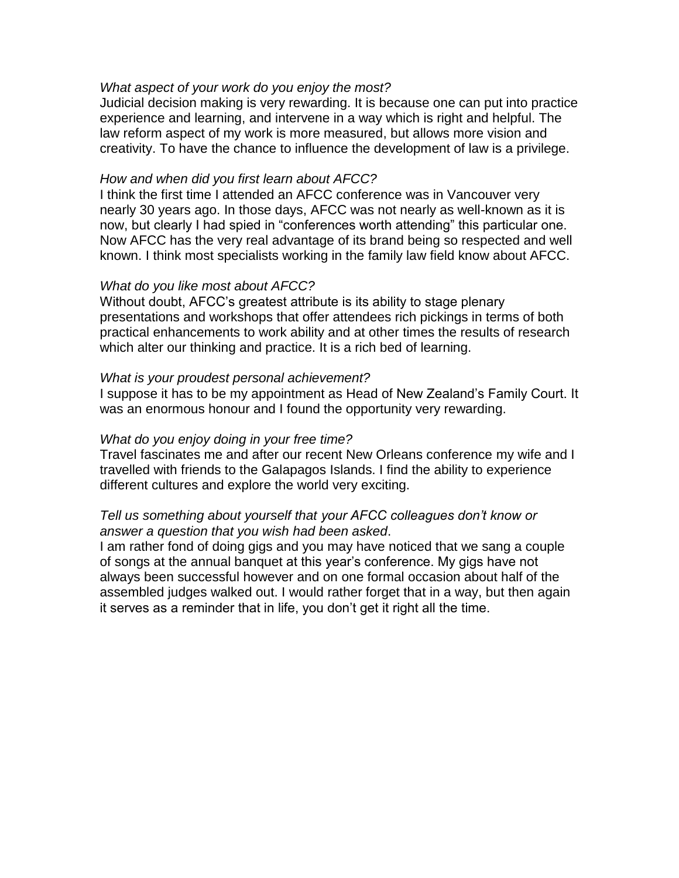## *What aspect of your work do you enjoy the most?*

Judicial decision making is very rewarding. It is because one can put into practice experience and learning, and intervene in a way which is right and helpful. The law reform aspect of my work is more measured, but allows more vision and creativity. To have the chance to influence the development of law is a privilege.

## *How and when did you first learn about AFCC?*

I think the first time I attended an AFCC conference was in Vancouver very nearly 30 years ago. In those days, AFCC was not nearly as well-known as it is now, but clearly I had spied in "conferences worth attending" this particular one. Now AFCC has the very real advantage of its brand being so respected and well known. I think most specialists working in the family law field know about AFCC.

## *What do you like most about AFCC?*

Without doubt, AFCC's greatest attribute is its ability to stage plenary presentations and workshops that offer attendees rich pickings in terms of both practical enhancements to work ability and at other times the results of research which alter our thinking and practice. It is a rich bed of learning.

## *What is your proudest personal achievement?*

I suppose it has to be my appointment as Head of New Zealand's Family Court. It was an enormous honour and I found the opportunity very rewarding.

## *What do you enjoy doing in your free time?*

Travel fascinates me and after our recent New Orleans conference my wife and I travelled with friends to the Galapagos Islands. I find the ability to experience different cultures and explore the world very exciting.

## *Tell us something about yourself that your AFCC colleagues don't know or answer a question that you wish had been asked*.

I am rather fond of doing gigs and you may have noticed that we sang a couple of songs at the annual banquet at this year's conference. My gigs have not always been successful however and on one formal occasion about half of the assembled judges walked out. I would rather forget that in a way, but then again it serves as a reminder that in life, you don't get it right all the time.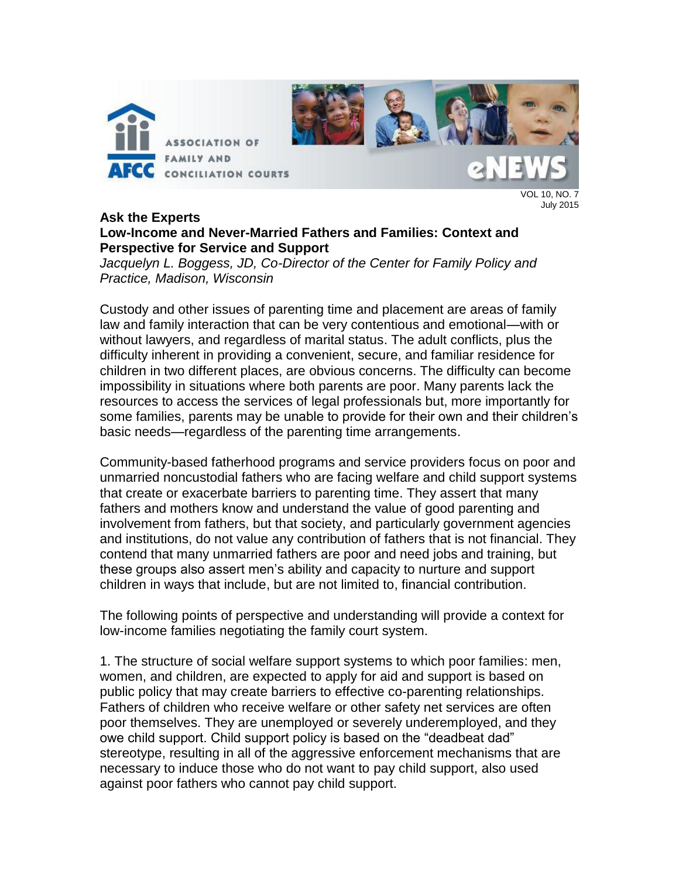

VOL 10, NO. 7 July 2015

## **Ask the Experts Low-Income and Never-Married Fathers and Families: Context and Perspective for Service and Support**

*Jacquelyn L. Boggess, JD, Co-Director of the Center for Family Policy and Practice, Madison, Wisconsin*

Custody and other issues of parenting time and placement are areas of family law and family interaction that can be very contentious and emotional—with or without lawyers, and regardless of marital status. The adult conflicts, plus the difficulty inherent in providing a convenient, secure, and familiar residence for children in two different places, are obvious concerns. The difficulty can become impossibility in situations where both parents are poor. Many parents lack the resources to access the services of legal professionals but, more importantly for some families, parents may be unable to provide for their own and their children's basic needs—regardless of the parenting time arrangements.

Community-based fatherhood programs and service providers focus on poor and unmarried noncustodial fathers who are facing welfare and child support systems that create or exacerbate barriers to parenting time. They assert that many fathers and mothers know and understand the value of good parenting and involvement from fathers, but that society, and particularly government agencies and institutions, do not value any contribution of fathers that is not financial. They contend that many unmarried fathers are poor and need jobs and training, but these groups also assert men's ability and capacity to nurture and support children in ways that include, but are not limited to, financial contribution.

The following points of perspective and understanding will provide a context for low-income families negotiating the family court system.

1. The structure of social welfare support systems to which poor families: men, women, and children, are expected to apply for aid and support is based on public policy that may create barriers to effective co-parenting relationships. Fathers of children who receive welfare or other safety net services are often poor themselves. They are unemployed or severely underemployed, and they owe child support. Child support policy is based on the "deadbeat dad" stereotype, resulting in all of the aggressive enforcement mechanisms that are necessary to induce those who do not want to pay child support, also used against poor fathers who cannot pay child support.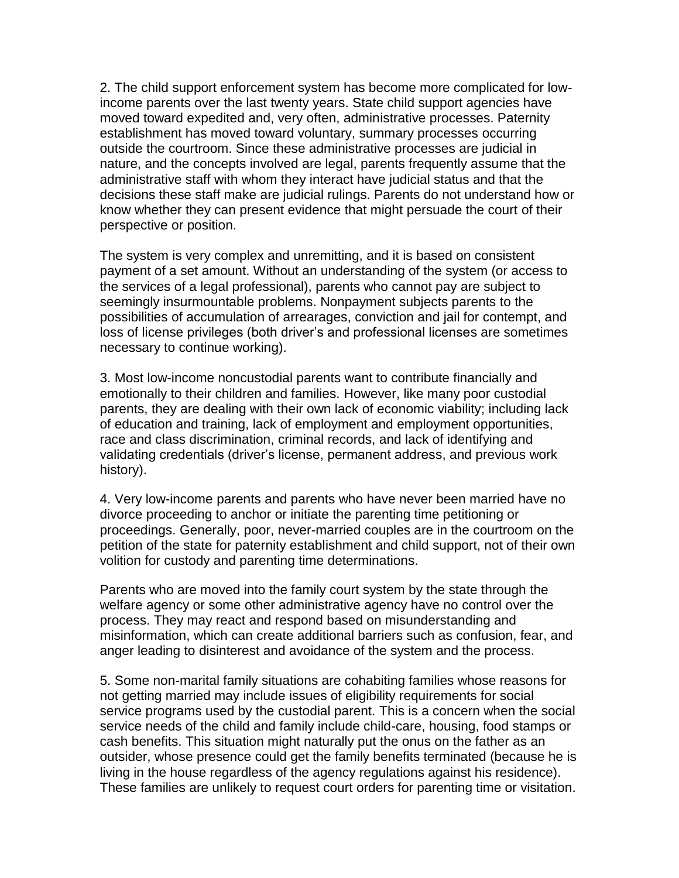2. The child support enforcement system has become more complicated for lowincome parents over the last twenty years. State child support agencies have moved toward expedited and, very often, administrative processes. Paternity establishment has moved toward voluntary, summary processes occurring outside the courtroom. Since these administrative processes are judicial in nature, and the concepts involved are legal, parents frequently assume that the administrative staff with whom they interact have judicial status and that the decisions these staff make are judicial rulings. Parents do not understand how or know whether they can present evidence that might persuade the court of their perspective or position.

The system is very complex and unremitting, and it is based on consistent payment of a set amount. Without an understanding of the system (or access to the services of a legal professional), parents who cannot pay are subject to seemingly insurmountable problems. Nonpayment subjects parents to the possibilities of accumulation of arrearages, conviction and jail for contempt, and loss of license privileges (both driver's and professional licenses are sometimes necessary to continue working).

3. Most low-income noncustodial parents want to contribute financially and emotionally to their children and families. However, like many poor custodial parents, they are dealing with their own lack of economic viability; including lack of education and training, lack of employment and employment opportunities, race and class discrimination, criminal records, and lack of identifying and validating credentials (driver's license, permanent address, and previous work history).

4. Very low-income parents and parents who have never been married have no divorce proceeding to anchor or initiate the parenting time petitioning or proceedings. Generally, poor, never-married couples are in the courtroom on the petition of the state for paternity establishment and child support, not of their own volition for custody and parenting time determinations.

Parents who are moved into the family court system by the state through the welfare agency or some other administrative agency have no control over the process. They may react and respond based on misunderstanding and misinformation, which can create additional barriers such as confusion, fear, and anger leading to disinterest and avoidance of the system and the process.

5. Some non-marital family situations are cohabiting families whose reasons for not getting married may include issues of eligibility requirements for social service programs used by the custodial parent. This is a concern when the social service needs of the child and family include child-care, housing, food stamps or cash benefits. This situation might naturally put the onus on the father as an outsider, whose presence could get the family benefits terminated (because he is living in the house regardless of the agency regulations against his residence). These families are unlikely to request court orders for parenting time or visitation.